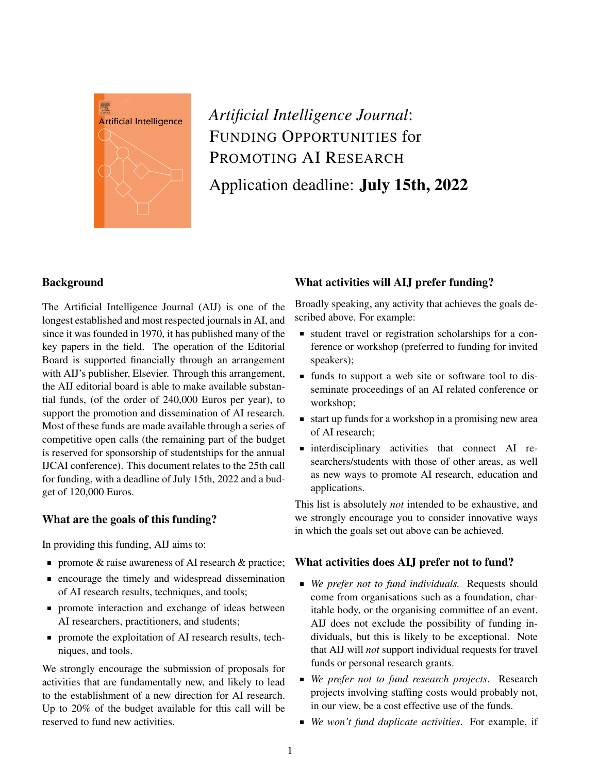

# *Artificial Intelligence Journal*: FUNDING OPPORTUNITIES for PROMOTING AI RESEARCH Application deadline: July 15th, 2022

## **Background**

The Artificial Intelligence Journal (AIJ) is one of the longest established and most respected journals in AI, and since it was founded in 1970, it has published many of the key papers in the field. The operation of the Editorial Board is supported financially through an arrangement with AIJ's publisher, Elsevier. Through this arrangement, the AIJ editorial board is able to make available substantial funds, (of the order of 240,000 Euros per year), to support the promotion and dissemination of AI research. Most of these funds are made available through a series of competitive open calls (the remaining part of the budget is reserved for sponsorship of studentships for the annual IJCAI conference). This document relates to the 25th call for funding, with a deadline of July 15th, 2022 and a budget of 120,000 Euros.

## What are the goals of this funding?

In providing this funding, AIJ aims to:

- promote  $\&$  raise awareness of AI research  $\&$  practice;
- **Exercise 1** encourage the timely and widespread dissemination of AI research results, techniques, and tools;
- **promote interaction and exchange of ideas between** AI researchers, practitioners, and students;
- **promote the exploitation of AI research results, tech**niques, and tools.

We strongly encourage the submission of proposals for activities that are fundamentally new, and likely to lead to the establishment of a new direction for AI research. Up to 20% of the budget available for this call will be reserved to fund new activities.

## What activities will AIJ prefer funding?

Broadly speaking, any activity that achieves the goals described above. For example:

- student travel or registration scholarships for a conference or workshop (preferred to funding for invited speakers);
- funds to support a web site or software tool to disseminate proceedings of an AI related conference or workshop;
- start up funds for a workshop in a promising new area of AI research;
- interdisciplinary activities that connect AI researchers/students with those of other areas, as well as new ways to promote AI research, education and applications.

This list is absolutely *not* intended to be exhaustive, and we strongly encourage you to consider innovative ways in which the goals set out above can be achieved.

### What activities does AIJ prefer not to fund?

- *We prefer not to fund individuals.* Requests should come from organisations such as a foundation, charitable body, or the organising committee of an event. AIJ does not exclude the possibility of funding individuals, but this is likely to be exceptional. Note that AIJ will *not* support individual requests for travel funds or personal research grants.
- *We prefer not to fund research projects*. Research projects involving staffing costs would probably not, in our view, be a cost effective use of the funds.
- *We won't fund duplicate activities*. For example, if